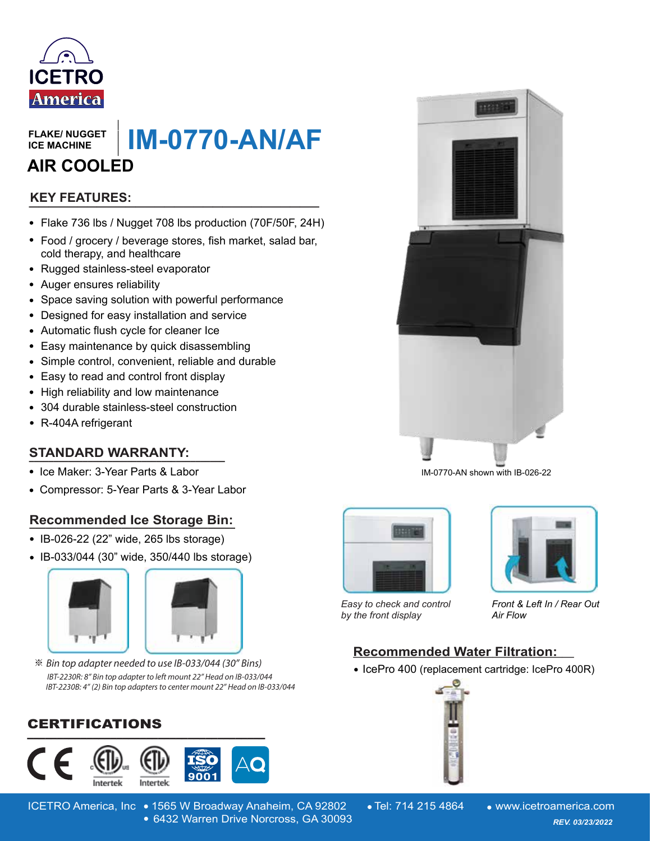

**FLAKE/ NUGGET ICE MACHINE**

**IM-0770-AN/AF AIR COOLED**

## **\_\_\_\_\_\_\_\_\_\_\_\_\_\_\_\_\_\_\_\_\_\_\_\_\_\_\_\_\_\_ KEY FEATURES:**

- Flake 736 lbs / Nugget 708 lbs production (70F/50F, 24H)
- Food / grocery / beverage stores, fish market, salad bar, cold therapy, and healthcare **FLAKE/ NUGGET<br>
ICE MACHINE**<br> **AIR COOLED**<br> **EXELT FRATURES:**<br>
• Flake 736 lbs / Nugget 708 lbs produe<br>
• Food / grocery / beverage stores, fish<br>
• Coold therapy, and healthcare<br>
• Rugged stainless-steel evaporator<br>
• Auge
- Rugged stainless-steel evaporator
- Auger ensures reliability
- Space saving solution with powerful performance
- Designed for easy installation and service
- Automatic flush cycle for cleaner Ice
- Easy maintenance by quick disassembling
- Simple control, convenient, reliable and durable
- Easy to read and control front display
- High reliability and low maintenance
- 304 durable stainless-steel construction
- R-404A refrigerant

#### **STANDARD WARRANTY:**

- Ice Maker: 3-Year Parts & Labor
- Compressor: 5-Year Parts & 3-Year Labor

#### **Recommended Ice Storage Bin: \_\_\_\_\_\_\_\_\_\_\_\_\_\_\_\_\_\_\_\_\_\_\_\_\_\_\_\_\_\_\_\_\_\_\_\_\_\_**

- IB-026-22 (22" wide, 265 lbs storage)
- IB-033/044 (30" wide, 350/440 lbs storage)



※ Bin top adapter needed to use IB-033/044 (30" Bins) IBT-2230R: 8" Bin top adapter to left mount 22" Head on IB-033/044 IBT-2230B: 4" (2) Bin top adapters to center mount 22" Head on IB-033/044

### CERTIFICATIONS



ICETRO America, Inc • 1565 W Broadway Anaheim, CA 92802 • Tel: 714 215 4864 • www.icetroamerica.com 6432 Warren Drive Norcross, GA 30093 *REV. 01/01/2022* 6432 Warren Drive Norcross, GA 30093 *REV. 03/23/2022*









*Easy to check and control by the front display*

*Front & Left In / Rear Out Air Flow* 

#### **Recommended Water Filtration: \_\_\_\_\_\_\_\_\_\_\_\_\_\_\_\_\_\_\_**

• IcePro 400 (replacement cartridge: IcePro 400R)